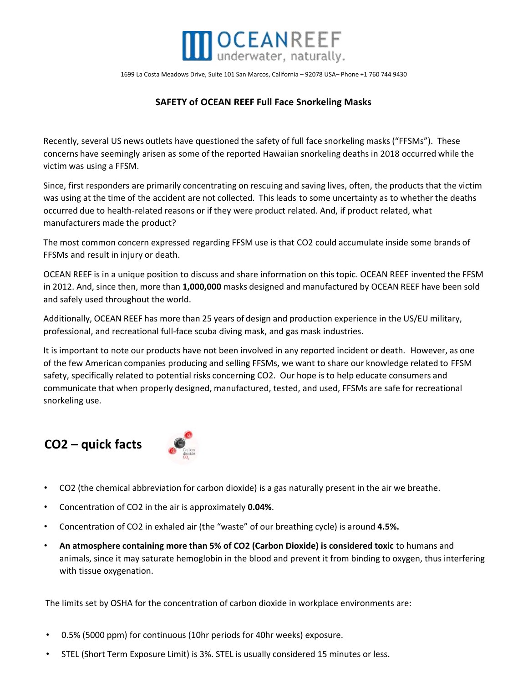

1699 La Costa Meadows Drive, Suite 101 San Marcos, California – 92078 USA– Phone +1 760 744 9430

# **SAFETY of OCEAN REEF Full Face Snorkeling Masks**

Recently, several US news outlets have questioned the safety of full face snorkeling masks ("FFSMs"). These concerns have seemingly arisen as some of the reported Hawaiian snorkeling deaths in 2018 occurred while the victim was using a FFSM.

Since, first responders are primarily concentrating on rescuing and saving lives, often, the products that the victim was using at the time of the accident are not collected. This leads to some uncertainty as to whether the deaths occurred due to health-related reasons or if they were product related. And, if product related, what manufacturers made the product?

The most common concern expressed regarding FFSM use is that CO2 could accumulate inside some brands of FFSMs and result in injury or death.

OCEAN REEF is in a unique position to discuss and share information on this topic. OCEAN REEF invented the FFSM in 2012. And, since then, more than **1,000,000** masks designed and manufactured by OCEAN REEF have been sold and safely used throughout the world.

Additionally, OCEAN REEF has more than 25 years of design and production experience in the US/EU military, professional, and recreational full-face scuba diving mask, and gas mask industries.

It is important to note our products have not been involved in any reported incident or death. However, as one of the few American companies producing and selling FFSMs, we want to share our knowledge related to FFSM safety, specifically related to potential risks concerning CO2. Our hope is to help educate consumers and communicate that when properly designed, manufactured, tested, and used, FFSMs are safe for recreational snorkeling use.

# **CO2 – quick facts**



- CO2 (the chemical abbreviation for carbon dioxide) is a gas naturally present in the air we breathe.
- Concentration of CO2 in the air is approximately **0.04%**.
- Concentration of CO2 in exhaled air (the "waste" of our breathing cycle) is around **4.5%.**
- **An atmosphere containing more than 5% of CO2 (Carbon Dioxide) is considered toxic** to humans and animals, since it may saturate hemoglobin in the blood and prevent it from binding to oxygen, thus interfering with tissue oxygenation.

The limits set by OSHA for the concentration of carbon dioxide in workplace environments are:

- 0.5% (5000 ppm) for continuous (10hr periods for 40hr weeks) exposure.
- STEL (Short Term Exposure Limit) is 3%. STEL is usually considered 15 minutes or less.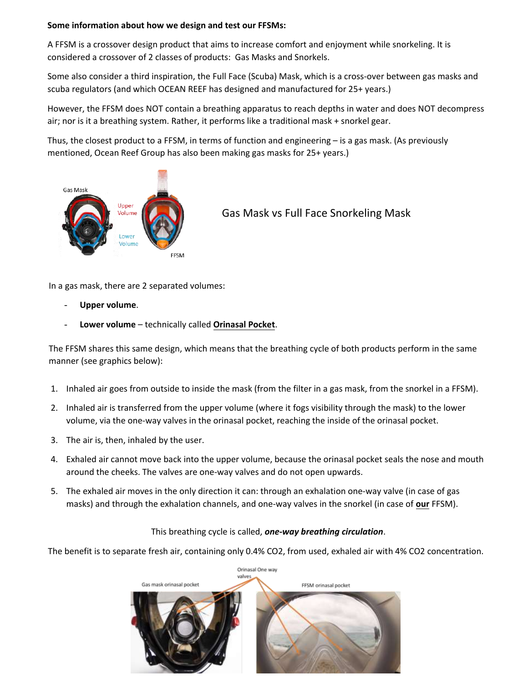## **Some information about how we design and test our FFSMs:**

A FFSM is a crossover design product that aims to increase comfort and enjoyment while snorkeling. It is considered a crossover of 2 classes of products: Gas Masks and Snorkels.

Some also consider a third inspiration, the Full Face (Scuba) Mask, which is a cross-over between gas masks and scuba regulators (and which OCEAN REEF has designed and manufactured for 25+ years.)

However, the FFSM does NOT contain a breathing apparatus to reach depths in water and does NOT decompress air; nor is it a breathing system. Rather, it performs like a traditional mask + snorkel gear.

Thus, the closest product to a FFSM, in terms of function and engineering – is a gas mask. (As previously mentioned, Ocean Reef Group has also been making gas masks for 25+ years.)



# Gas Mask vs Full Face Snorkeling Mask

In a gas mask, there are 2 separated volumes:

- **Upper volume**.
- **Lower volume**  technically called **Orinasal Pocket**.

The FFSM shares this same design, which means that the breathing cycle of both products perform in the same manner (see graphics below):

- 1. Inhaled air goes from outside to inside the mask (from the filter in a gas mask, from the snorkel in a FFSM).
- 2. Inhaled air is transferred from the upper volume (where it fogs visibility through the mask) to the lower volume, via the one-way valves in the orinasal pocket, reaching the inside of the orinasal pocket.
- 3. The air is, then, inhaled by the user.
- 4. Exhaled air cannot move back into the upper volume, because the orinasal pocket seals the nose and mouth around the cheeks. The valves are one-way valves and do not open upwards.
- 5. The exhaled air moves in the only direction it can: through an exhalation one-way valve (in case of gas masks) and through the exhalation channels, and one-way valves in the snorkel (in case of **our** FFSM).

# This breathing cycle is called, *one-way breathing circulation*.

The benefit is to separate fresh air, containing only 0.4% CO2, from used, exhaled air with 4% CO2 concentration.

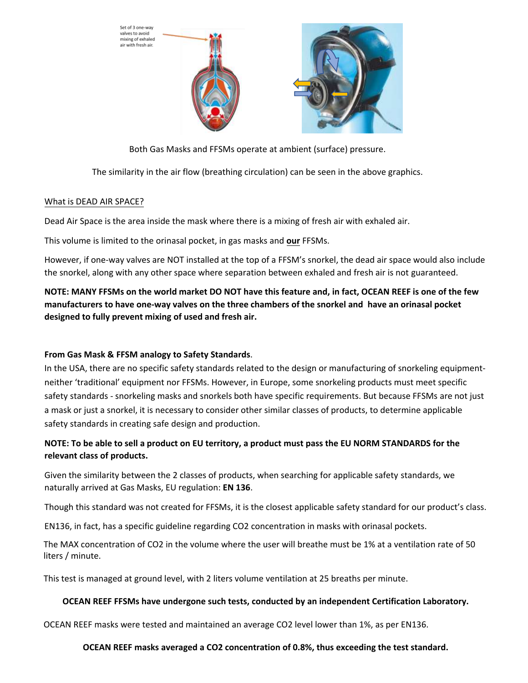Set of 3 one-way valves to avoid<br>mixing of exhaled with fresh air.





Both Gas Masks and FFSMs operate at ambient (surface) pressure.

The similarity in the air flow (breathing circulation) can be seen in the above graphics.

#### What is DEAD AIR SPACE?

Dead Air Space is the area inside the mask where there is a mixing of fresh air with exhaled air.

This volume is limited to the orinasal pocket, in gas masks and **our** FFSMs.

However, if one-way valves are NOT installed at the top of a FFSM's snorkel, the dead air space would also include the snorkel, along with any other space where separation between exhaled and fresh air is not guaranteed.

**NOTE: MANY FFSMs on the world market DO NOT have this feature and, in fact, OCEAN REEF is one of the few manufacturers to have one-way valves on the three chambers of the snorkel and have an orinasal pocket designed to fully prevent mixing of used and fresh air.** 

# **From Gas Mask & FFSM analogy to Safety Standards**.

In the USA, there are no specific safety standards related to the design or manufacturing of snorkeling equipmentneither 'traditional' equipment nor FFSMs. However, in Europe, some snorkeling products must meet specific safety standards - snorkeling masks and snorkels both have specific requirements. But because FFSMs are not just a mask or just a snorkel, it is necessary to consider other similar classes of products, to determine applicable safety standards in creating safe design and production.

# **NOTE: To be able to sell a product on EU territory, a product must pass the EU NORM STANDARDS for the relevant class of products.**

Given the similarity between the 2 classes of products, when searching for applicable safety standards, we naturally arrived at Gas Masks, EU regulation: **EN 136**.

Though this standard was not created for FFSMs, it is the closest applicable safety standard for our product's class.

EN136, in fact, has a specific guideline regarding CO2 concentration in masks with orinasal pockets.

The MAX concentration of CO2 in the volume where the user will breathe must be 1% at a ventilation rate of 50 liters / minute.

This test is managed at ground level, with 2 liters volume ventilation at 25 breaths per minute.

#### **OCEAN REEF FFSMs have undergone such tests, conducted by an independent Certification Laboratory.**

OCEAN REEF masks were tested and maintained an average CO2 level lower than 1%, as per EN136.

## **OCEAN REEF masks averaged a CO2 concentration of 0.8%, thus exceeding the test standard.**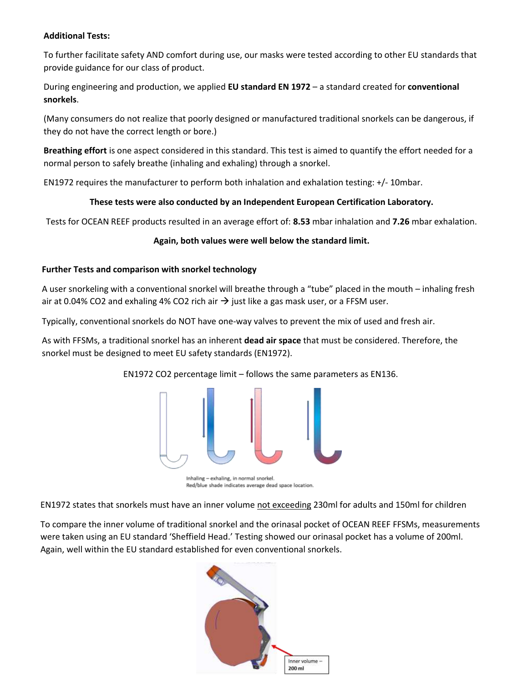## **Additional Tests:**

To further facilitate safety AND comfort during use, our masks were tested according to other EU standards that provide guidance for our class of product.

During engineering and production, we applied **EU standard EN 1972** – a standard created for **conventional snorkels**.

(Many consumers do not realize that poorly designed or manufactured traditional snorkels can be dangerous, if they do not have the correct length or bore.)

**Breathing effort** is one aspect considered in this standard. This test is aimed to quantify the effort needed for a normal person to safely breathe (inhaling and exhaling) through a snorkel.

EN1972 requires the manufacturer to perform both inhalation and exhalation testing: +/- 10mbar.

## **These tests were also conducted by an Independent European Certification Laboratory.**

Tests for OCEAN REEF products resulted in an average effort of: **8.53** mbar inhalation and **7.26** mbar exhalation.

## **Again, both values were well below the standard limit.**

## **Further Tests and comparison with snorkel technology**

A user snorkeling with a conventional snorkel will breathe through a "tube" placed in the mouth – inhaling fresh air at 0.04% CO2 and exhaling 4% CO2 rich air  $\rightarrow$  just like a gas mask user, or a FFSM user.

Typically, conventional snorkels do NOT have one-way valves to prevent the mix of used and fresh air.

As with FFSMs, a traditional snorkel has an inherent **dead air space** that must be considered. Therefore, the snorkel must be designed to meet EU safety standards (EN1972).

EN1972 CO2 percentage limit – follows the same parameters as EN136.



Inhaling - exhaling, in normal snorkel. Red/blue shade indicates average dead space location.

EN1972 states that snorkels must have an inner volume not exceeding 230ml for adults and 150ml for children

To compare the inner volume of traditional snorkel and the orinasal pocket of OCEAN REEF FFSMs, measurements were taken using an EU standard 'Sheffield Head.' Testing showed our orinasal pocket has a volume of 200ml. Again, well within the EU standard established for even conventional snorkels.